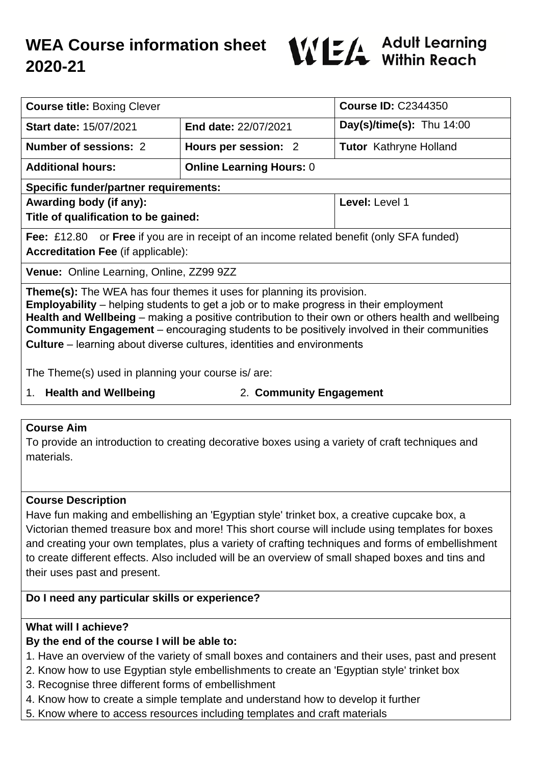# **WEA Course information sheet 2020-21**



| <b>Course title: Boxing Clever</b>                                                                                                                                                                                                                                                                                                                                                                                                                                      |                                 | <b>Course ID: C2344350</b>    |
|-------------------------------------------------------------------------------------------------------------------------------------------------------------------------------------------------------------------------------------------------------------------------------------------------------------------------------------------------------------------------------------------------------------------------------------------------------------------------|---------------------------------|-------------------------------|
| <b>Start date: 15/07/2021</b>                                                                                                                                                                                                                                                                                                                                                                                                                                           | End date: 22/07/2021            | Day(s)/time(s): Thu $14:00$   |
| Number of sessions: 2                                                                                                                                                                                                                                                                                                                                                                                                                                                   | Hours per session: 2            | <b>Tutor</b> Kathryne Holland |
| <b>Additional hours:</b>                                                                                                                                                                                                                                                                                                                                                                                                                                                | <b>Online Learning Hours: 0</b> |                               |
| <b>Specific funder/partner requirements:</b>                                                                                                                                                                                                                                                                                                                                                                                                                            |                                 |                               |
| Awarding body (if any):                                                                                                                                                                                                                                                                                                                                                                                                                                                 |                                 | Level: Level 1                |
| Title of qualification to be gained:                                                                                                                                                                                                                                                                                                                                                                                                                                    |                                 |                               |
| <b>Fee:</b> £12.80 or <b>Free</b> if you are in receipt of an income related benefit (only SFA funded)                                                                                                                                                                                                                                                                                                                                                                  |                                 |                               |
| <b>Accreditation Fee (if applicable):</b>                                                                                                                                                                                                                                                                                                                                                                                                                               |                                 |                               |
| Venue: Online Learning, Online, ZZ99 9ZZ                                                                                                                                                                                                                                                                                                                                                                                                                                |                                 |                               |
| <b>Theme(s):</b> The WEA has four themes it uses for planning its provision.<br><b>Employability</b> – helping students to get a job or to make progress in their employment<br>Health and Wellbeing – making a positive contribution to their own or others health and wellbeing<br><b>Community Engagement</b> – encouraging students to be positively involved in their communities<br><b>Culture</b> – learning about diverse cultures, identities and environments |                                 |                               |
| The Theme(s) used in planning your course is/are:                                                                                                                                                                                                                                                                                                                                                                                                                       |                                 |                               |
| A Lleelth and Waldbaims                                                                                                                                                                                                                                                                                                                                                                                                                                                 |                                 |                               |

1. **Health and Wellbeing** 2. **Community Engagement**

# **Course Aim**

To provide an introduction to creating decorative boxes using a variety of craft techniques and materials.

# **Course Description**

Have fun making and embellishing an 'Egyptian style' trinket box, a creative cupcake box, a Victorian themed treasure box and more! This short course will include using templates for boxes and creating your own templates, plus a variety of crafting techniques and forms of embellishment to create different effects. Also included will be an overview of small shaped boxes and tins and their uses past and present.

# **Do I need any particular skills or experience?**

# **What will I achieve?**

# **By the end of the course I will be able to:**

1. Have an overview of the variety of small boxes and containers and their uses, past and present

- 2. Know how to use Egyptian style embellishments to create an 'Egyptian style' trinket box
- 3. Recognise three different forms of embellishment
- 4. Know how to create a simple template and understand how to develop it further
- 5. Know where to access resources including templates and craft materials